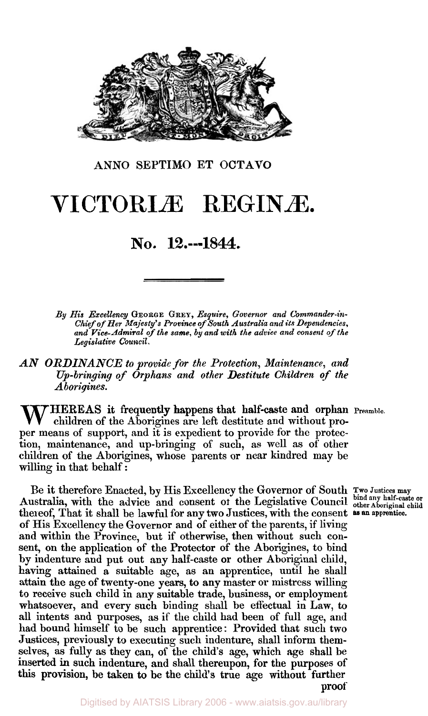

**ANNO SEPTIMO ET OCTAVO** 

## **VICTORIÆ REGINAE.**

## **NO. 12.---1844.**

*By His Excellency* **GEORGE GREY,** *Esquire, Governor and Commander-in-Chief of Her Majesty's Province of South Australia and its Dependencies, and Vice-Admiral of the same, by and with the advice and consent of the Legislative Council.* 

*AN ORDINANCE to provide for the Protection, Maintenance, and Up-bringing of Orphans and other Destitute Children of the Aborigines.* 

THEREAS it frequently happens that half-caste and orphan Preamble. children of the Aborigines are left destitute and without proper means of support, and it is expedient to provide for the protection, maintenance, and up-bringing of such, as well as of' other children of the Aborigines, whose parents or near kindred may be willing in that behalf:

Be it therefore Enacted, by His Excellency the Governor of South **Two** Justices **may**  Australia, with the advice and consent of the Legislative Council **bind any half-caste or** thereof, That it shall be lawful for any two Justices, with the consent as an apprentice. of His Excellency the Governor and of either of the parents, if living and within the Province, but if otherwise, then without such consent, on the application of the Protector of the Aborigines, to bind by indenture and put out any half-caste or other Aboriginal child, having attained a suitable age, as an apprentice, until he shall attain the age of twenty-one years, to any master or mistress willing to receive such child in any suitable trade, business, or employment whatsoever, and every such binding shall be effectual in Law, to all intents and purposes, as if the child had been of full age, and had bound himself to be such apprentice: Provided that such two Justices, previously to executing such indenture, shall inform themselves, as fully as they can, of the child's age, which age shall be inserted in such indenture, and shall thereupon, for the purposes of this provision, be taken to be the child's true age without further proof thereof, That it shall be lawful for any two Justices, with the consent as an apprentice.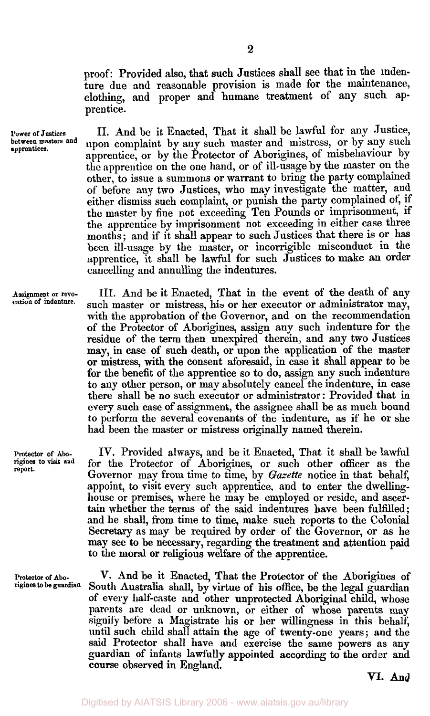proof: Provided also, that such Justices shall see that in the indenture due and reasonable provision is made for the maintenance, clothing, and proper and humane treatment of any such apprentice.

**Power of Justices** II. And be it Enacted, That it shall be lawful for any Justice, upon complaint by any such master and mistress, or by any such apprentice, or by the Protector of Aborigines, of misbehaviour by the apprentice on the one hand, or of ill-usage by the master on the other, to issue a summons or warrant to bring the party complained of before any two Justices, who may investigate the matter, and either dismiss such complaint, or punish the party complained of, if the master by fine not exceeding Ten Pounds or imprisonment, if the apprentice by imprisonment not exceeding in either case three months ; and if it shall appear to such Justices that there is or has been ill-usage by the master, or incorrigible misconduct in the apprentice, it shall be lawful for such Justices to make an order cancelling and annulling the indentures.

> III. And be it Enacted, That in the event of the death of any such master or mistress, his or her executor or administrator may, with the approbation of the Governor, and on the recommendation of the Protector of Aborigines, assign any such indenture for the residue of the term then unexpired therein, and any two Justices may, in case of such death, or upon the application of the master or mistress, with the consent aforesaid, in case it shall appear to be for the benefit of the apprentice so to do, assign any such indenture to any other person, or may absolutely cancel the indenture, in case there shall be no such executor or administrator: Provided that in every such case of assignment, the assignee shall be as much bound to perform the several covenants of the indenture, as if he or she had been the master or mistress originally named therein.

> IV. Provided always, and be it Enacted, That it shall be lawful for the Protector of Aborigines, or such other officer as the Governor may from time to time, by *Gazette* notice in that behalf, appoint, to visit every such apprentice, and to enter the dwellinghouse or premises, where he may be employed or reside, and ascer**tain** whether the terms of the said indentures have been fulfilled; and he shall, from time to time, make such reports to the Colonial Secretary as may be required by order of the Governor, or as he may see to be necessary, regarding the treatment and attention paid to the moral or religious welfare of the apprentice.

**Protector** of **Abo-** V. And be it Enacted, That the Protector of the Aborigines of South Australia shall, by virtue of his office, be the legal guardian of every half-caste and other unprotected Aboriginal child, whose **parents** are dead or unknown, or either of whose parents may signify before a Magistrate his or her willingness in this behalf, until such child shall attain the age of twenty-one years; and the said Protector shall have and exercise the same powers as any guardian of infants lawfully appointed according to the order and course observed in England.

VI. **And** 

**between masters and apprentices.** 

**Assignment or revocation of indenture.** 

**Protector of Aborigines to visit and report.**